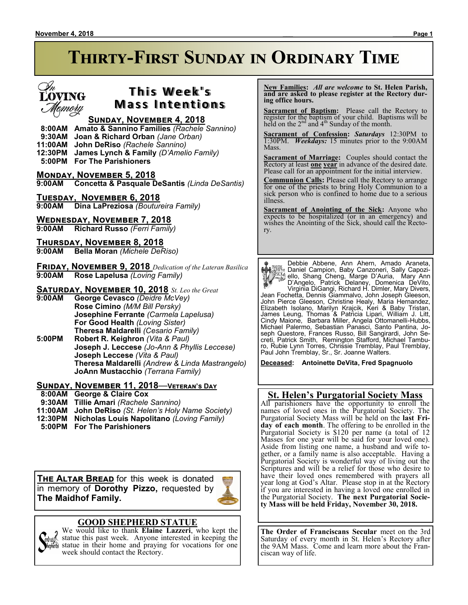# **Thirty-First Sunday in Ordinary Time**



# **This Week's Mass Intentions**

### **Sunday, November 4, 2018**

 **8:00AM Amato & Sannino Families** *(Rachele Sannino)*

- **9:30AM Joan & Richard Orban** *(Jane Orban)*
- **11:00AM John DeRiso** *(Rachele Sannino)*
- **12:30PM James Lynch & Family** *(D'Amelio Family)*

 **5:00PM For The Parishioners**

**Monday, November 5, 2018 9:00AM Concetta & Pasquale DeSantis** *(Linda DeSantis)*

**Tuesday, November 6, 2018 9:00AM Dina LaPreziosa** *(Boutureira Family)*

**WEDNESDAY, NOVEMBER 7, 2018**<br>9:00AM Richard Russo (Ferri Family **Richard Russo** (Ferri Family)

**Thursday, November 8, 2018 9:00AM Bella Moran** *(Michele DeRiso)*

**Friday, November 9, 2018** *Dedication of the Lateran Basilica* **9:00AM Rose Lapelusa** *(Loving Family)*

**SATURDAY, NOVEMBER 10, 2018** *St. Leo the Great* 9:00AM George Cevasco (Deidre McVey)

**9:00AM George Cevasco** *(Deidre McVey)* **Rose Cimino** *(M/M Bill Persky)* **Josephine Ferrante** *(Carmela Lapelusa)* **For Good Health** *(Loving Sister)* **Theresa Maldarelli** *(Cesario Family)*

**5:00PM Robert R. Keighron** *(Vita & Paul)* **Joseph J. Leccese** *(Jo-Ann & Phyllis Leccese)* **Joseph Leccese** *(Vita & Paul)* **Theresa Maldarelli** *(Andrew & Linda Mastrangelo)* **JoAnn Mustacchio** *(Terrana Family)*

### **Sunday, November 11, 2018**—**Veteran's Day**

 **8:00AM George & Claire Cox**

- **9:30AM Tillie Amari** *(Rachele Sannino)*
- **11:00AM John DeRiso** *(St. Helen's Holy Name Society)*
- **12:30PM Nicholas Louis Napolitano** *(Loving Family)*
- **5:00PM For The Parishioners**

**THE ALTAR BREAD** for this week is donated in memory of **Dorothy Pizzo,** requested by **The Maidhof Family.**



We would like to thank **Elaine Lazzeri**, who kept the statue this past week. Anyone interested in keeping the statue in their home and praying for vocations for one week should contact the Rectory.

 **New Families:** *All are welcome* **to St. Helen Parish, and are asked to please register at the Rectory during office hours.**

**Sacrament of Baptism:** Please call the Rectory to register for the baptism of your child. Baptisms will be held on the  $2<sup>nd</sup>$  and  $4<sup>th</sup>$  Sunday of the month.

**Sacrament of Confession:** *Saturdays* 12:30PM to 1:30PM. *Weekdays:* 15 minutes prior to the 9:00AM Mass.

**Sacrament of Marriage:**Couples should contact the Rectory at least **one year** in advance of the desired date. Please call for an appointment for the initial interview.

**Communion Calls:** Please call the Rectory to arrange for one of the priests to bring Holy Communion to a sick person who is confined to home due to a serious illness.

**Sacrament of Anointing of the Sick:** Anyone who expects to be hospitalized (or in an emergency) and wishes the Anointing of the Sick, should call the Rectory.

Debbie Abbene, Ann Ahern, Amado Araneta, Daniel Campion, Baby Canzoneri, Sally Capoziello, Shang Cheng, Marge D'Auria, Mary Ann D'Angelo, Patrick Delaney, Domenica DeVito, Virginia DiGangi, Richard H. Dimler, Mary Divers, Jean Fochetta, Dennis Giammalvo, John Joseph Gleeson, John Pierce Gleeson, Christine Healy, Maria Hernandez, Elizabeth Isolano, Marilyn Krajcik, Keri & Baby Tristan, James Leung, Thomas & Patricia Lipari, William J. Litt, Cindy Maione, Barbara Miller, Angela Ottomanelli-Hubbs, Michael Palermo, Sebastian Panasci, Santo Pantina, Joseph Questore, Frances Russo, Bill Sangirardi, John Secreti, Patrick Smith, Remington Stafford, Michael Tamburo, Rubie Lynn Torres, Chrissie Tremblay, Paul Tremblay, Paul John Tremblay, Sr., Sr. Joanne Walters.

**Deceased: Antoinette DeVita, Fred Spagnuolo**

### **St. Helen's Purgatorial Society Mass**

All parishioners have the opportunity to enroll the names of loved ones in the Purgatorial Society. The Purgatorial Society Mass will be held on the **last Friday of each month**. The offering to be enrolled in the Purgatorial Society is \$120 per name (a total of 12 Masses for one year will be said for your loved one). Aside from listing one name, a husband and wife together, or a family name is also acceptable. Having a Purgatorial Society is wonderful way of living out the Scriptures and will be a relief for those who desire to have their loved ones remembered with prayers all year long at God's Altar. Please stop in at the Rectory if you are interested in having a loved one enrolled in the Purgatorial Society. **The next Purgatorial Society Mass will be held Friday, November 30, 2018.**

**The Order of Franciscans Secular** meet on the 3rd Saturday of every month in St. Helen's Rectory after the 9AM Mass. Come and learn more about the Franciscan way of life.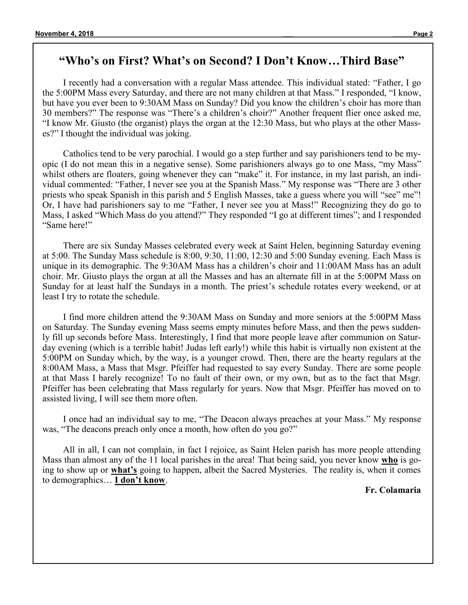## **"Who's on First? What's on Second? I Don't Know…Third Base"**

I recently had a conversation with a regular Mass attendee. This individual stated: "Father, I go the 5:00PM Mass every Saturday, and there are not many children at that Mass." I responded, "I know, but have you ever been to 9:30AM Mass on Sunday? Did you know the children's choir has more than 30 members?" The response was "There's a children's choir?" Another frequent flier once asked me, "I know Mr. Giusto (the organist) plays the organ at the 12:30 Mass, but who plays at the other Masses?" I thought the individual was joking.

Catholics tend to be very parochial. I would go a step further and say parishioners tend to be myopic (I do not mean this in a negative sense). Some parishioners always go to one Mass, "my Mass" whilst others are floaters, going whenever they can "make" it. For instance, in my last parish, an individual commented: "Father, I never see you at the Spanish Mass." My response was "There are 3 other priests who speak Spanish in this parish and 5 English Masses, take a guess where you will "see" me"! Or, I have had parishioners say to me "Father, I never see you at Mass!" Recognizing they do go to Mass, I asked "Which Mass do you attend?" They responded "I go at different times"; and I responded "Same here!"

There are six Sunday Masses celebrated every week at Saint Helen, beginning Saturday evening at 5:00. The Sunday Mass schedule is 8:00, 9:30, 11:00, 12:30 and 5:00 Sunday evening. Each Mass is unique in its demographic. The 9:30AM Mass has a children's choir and 11:00AM Mass has an adult choir. Mr. Giusto plays the organ at all the Masses and has an alternate fill in at the 5:00PM Mass on Sunday for at least half the Sundays in a month. The priest's schedule rotates every weekend, or at least I try to rotate the schedule.

I find more children attend the 9:30AM Mass on Sunday and more seniors at the 5:00PM Mass on Saturday. The Sunday evening Mass seems empty minutes before Mass, and then the pews suddenly fill up seconds before Mass. Interestingly, I find that more people leave after communion on Saturday evening (which is a terrible habit! Judas left early!) while this habit is virtually non existent at the 5:00PM on Sunday which, by the way, is a younger crowd. Then, there are the hearty regulars at the 8:00AM Mass, a Mass that Msgr. Pfeiffer had requested to say every Sunday. There are some people at that Mass I barely recognize! To no fault of their own, or my own, but as to the fact that Msgr. Pfeiffer has been celebrating that Mass regularly for years. Now that Msgr. Pfeiffer has moved on to assisted living, I will see them more often.

I once had an individual say to me, "The Deacon always preaches at your Mass." My response was, "The deacons preach only once a month, how often do you go?"

All in all, I can not complain, in fact I rejoice, as Saint Helen parish has more people attending Mass than almost any of the 11 local parishes in the area! That being said, you never know **who** is going to show up or **what's** going to happen, albeit the Sacred Mysteries. The reality is, when it comes to demographics… **I don't know**.

### **Fr. Colamaria**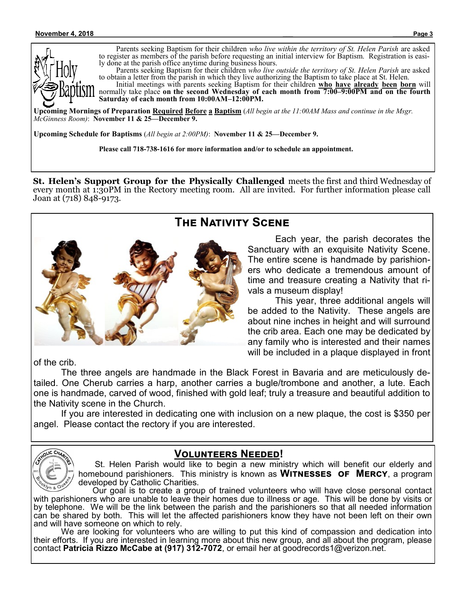

Parents seeking Baptism for their children *who live within the territory of St. Helen Parish* are asked to register as members of the parish before requesting an initial interview for Baptism. Registration is easily done at the parish office anytime during business hours.

Parents seeking Baptism for their children *who live outside the territory of St. Helen Parish* are asked to obtain a letter from the parish in which they live authorizing the Baptism to take place at St. Helen.

Initial meetings with parents seeking Baptism for their children **who have already been born** will normally take place **on the second Wednesday of each month from 7:00–9:00PM and on the fourth Saturday of each month from 10:00AM–12:00PM.**

**Upcoming Mornings of Preparation Required Before a Baptism** (*All begin at the 11:00AM Mass and continue in the Msgr. McGinness Room)*: **November 11 & 25—December 9.**

**Upcoming Schedule for Baptisms** (*All begin at 2:00PM)*: **November 11 & 25—December 9.**

**Please call 718-738-1616 for more information and/or to schedule an appointment.**

**St. Helen's Support Group for the Physically Challenged** meets the first and third Wednesday of every month at 1:30PM in the Rectory meeting room. All are invited. For further information please call Joan at (718) 848-9173.



# **The Nativity Scene**

Each year, the parish decorates the Sanctuary with an exquisite Nativity Scene. The entire scene is handmade by parishioners who dedicate a tremendous amount of time and treasure creating a Nativity that rivals a museum display!

This year, three additional angels will be added to the Nativity. These angels are about nine inches in height and will surround the crib area. Each one may be dedicated by any family who is interested and their names will be included in a plaque displayed in front

of the crib.

The three angels are handmade in the Black Forest in Bavaria and are meticulously detailed. One Cherub carries a harp, another carries a bugle/trombone and another, a lute. Each one is handmade, carved of wood, finished with gold leaf; truly a treasure and beautiful addition to the Nativity scene in the Church.

If you are interested in dedicating one with inclusion on a new plaque, the cost is \$350 per angel. Please contact the rectory if you are interested.



## **Volunteers Needed!**

 St. Helen Parish would like to begin a new ministry which will benefit our elderly and homebound parishioners. This ministry is known as **Witnesses of Mercy**, a program developed by Catholic Charities.

 Our goal is to create a group of trained volunteers who will have close personal contact with parishioners who are unable to leave their homes due to illness or age. This will be done by visits or by telephone. We will be the link between the parish and the parishioners so that all needed information can be shared by both. This will let the affected parishioners know they have not been left on their own and will have someone on which to rely.

We are looking for volunteers who are willing to put this kind of compassion and dedication into their efforts. If you are interested in learning more about this new group, and all about the program, please contact **Patricia Rizzo McCabe at (917) 312-7072**, or email her at goodrecords1@verizon.net.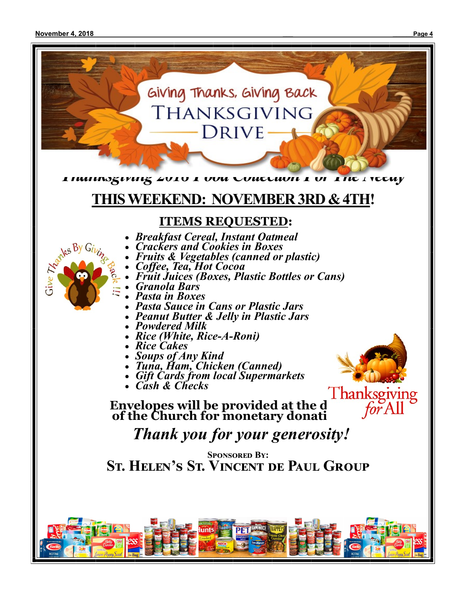